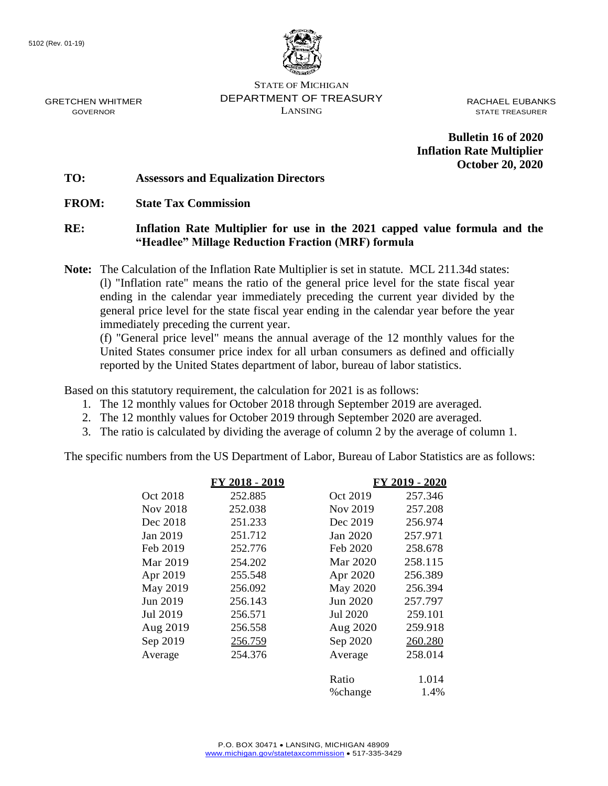GRETCHEN WHITMER GOVERNOR



STATE OF MICHIGAN DEPARTMENT OF TREASURY LANSING

RACHAEL EUBANKS STATE TREASURER

**Bulletin 16 of 2020 Inflation Rate Multiplier October 20, 2020**

#### **TO: Assessors and Equalization Directors**

**FROM: State Tax Commission**

#### **RE: Inflation Rate Multiplier for use in the 2021 capped value formula and the "Headlee" Millage Reduction Fraction (MRF) formula**

**Note:** The Calculation of the Inflation Rate Multiplier is set in statute. MCL 211.34d states: (l) "Inflation rate" means the ratio of the general price level for the state fiscal year ending in the calendar year immediately preceding the current year divided by the general price level for the state fiscal year ending in the calendar year before the year immediately preceding the current year.

(f) "General price level" means the annual average of the 12 monthly values for the United States consumer price index for all urban consumers as defined and officially reported by the United States department of labor, bureau of labor statistics.

Based on this statutory requirement, the calculation for 2021 is as follows:

- 1. The 12 monthly values for October 2018 through September 2019 are averaged.
- 2. The 12 monthly values for October 2019 through September 2020 are averaged.
- 3. The ratio is calculated by dividing the average of column 2 by the average of column 1.

The specific numbers from the US Department of Labor, Bureau of Labor Statistics are as follows:

|          | FY 2018 - 2019 |          | FY 2019 - 2020 |
|----------|----------------|----------|----------------|
| Oct 2018 | 252.885        | Oct 2019 | 257.346        |
| Nov 2018 | 252.038        | Nov 2019 | 257.208        |
| Dec 2018 | 251.233        | Dec 2019 | 256.974        |
| Jan 2019 | 251.712        | Jan 2020 | 257.971        |
| Feb 2019 | 252.776        | Feb 2020 | 258.678        |
| Mar 2019 | 254.202        | Mar 2020 | 258.115        |
| Apr 2019 | 255.548        | Apr 2020 | 256.389        |
| May 2019 | 256.092        | May 2020 | 256.394        |
| Jun 2019 | 256.143        | Jun 2020 | 257.797        |
| Jul 2019 | 256.571        | Jul 2020 | 259.101        |
| Aug 2019 | 256.558        | Aug 2020 | 259.918        |
| Sep 2019 | 256.759        | Sep 2020 | 260.280        |
| Average  | 254.376        | Average  | 258.014        |
|          |                | Ratio    | 1.014          |
|          |                | % change | 1.4%           |